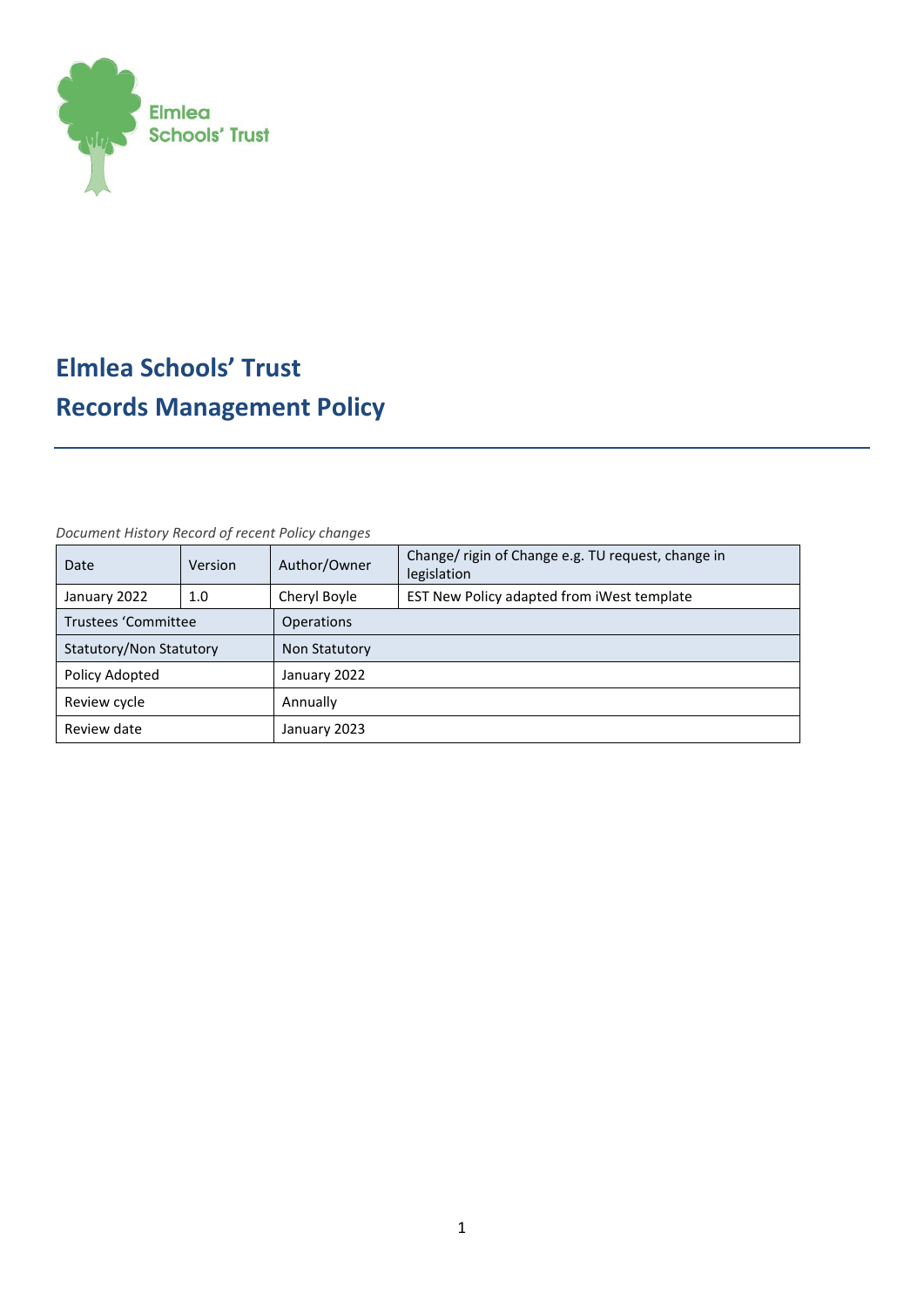

# **Elmlea Schools' Trust Records Management Policy**

#### *Document History Record of recent Policy changes*

| Date                    | Version | Author/Owner      | Change/ rigin of Change e.g. TU request, change in<br>legislation |  |
|-------------------------|---------|-------------------|-------------------------------------------------------------------|--|
| January 2022            | 1.0     | Cheryl Boyle      | EST New Policy adapted from iWest template                        |  |
| Trustees 'Committee     |         | <b>Operations</b> |                                                                   |  |
| Statutory/Non Statutory |         | Non Statutory     |                                                                   |  |
| Policy Adopted          |         | January 2022      |                                                                   |  |
| Review cycle            |         | Annually          |                                                                   |  |
| Review date             |         | January 2023      |                                                                   |  |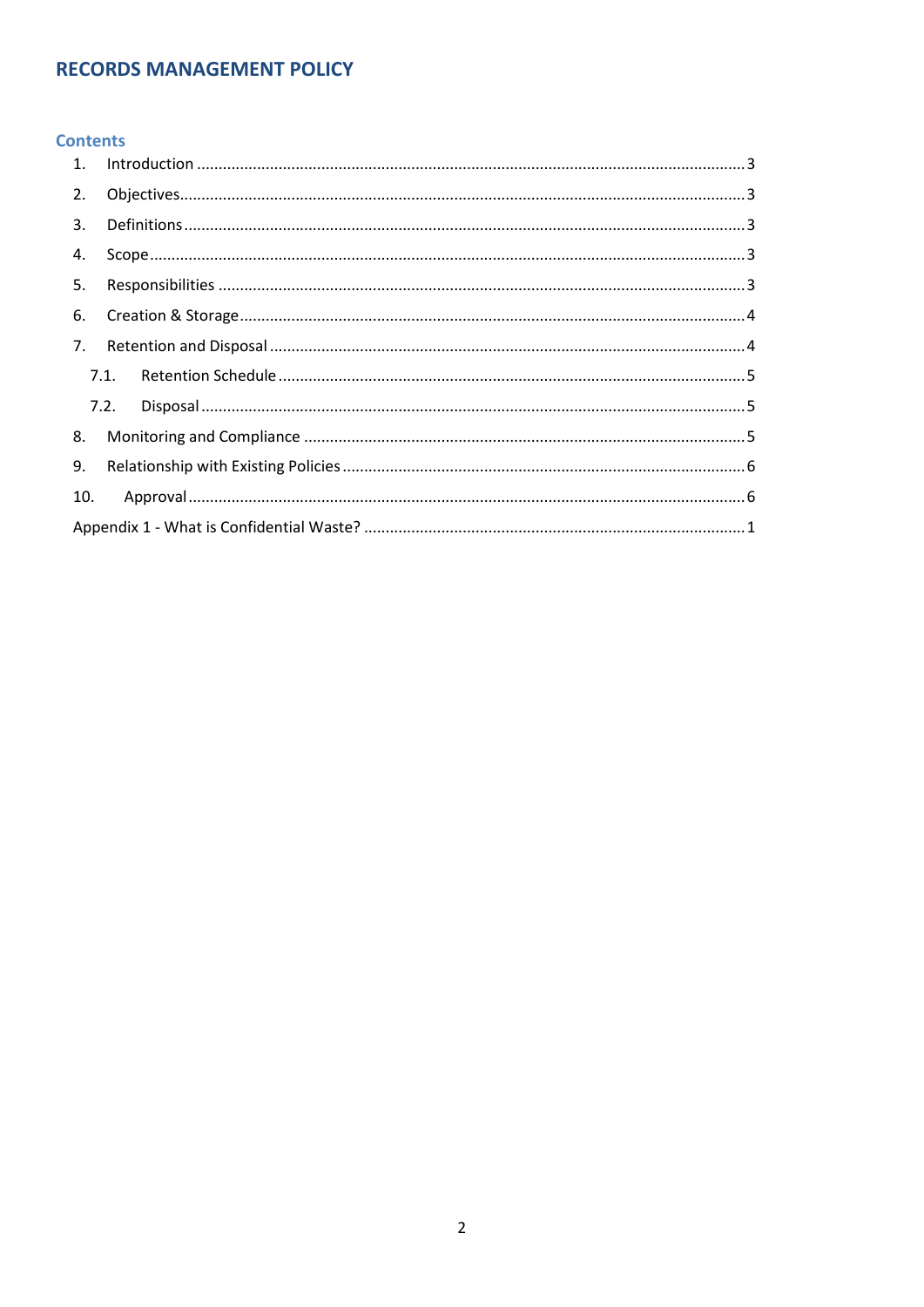# **RECORDS MANAGEMENT POLICY**

# **Contents**

| 2.  |      |  |  |  |  |
|-----|------|--|--|--|--|
| 3.  |      |  |  |  |  |
| 4.  |      |  |  |  |  |
| 5.  |      |  |  |  |  |
| 6.  |      |  |  |  |  |
|     |      |  |  |  |  |
|     |      |  |  |  |  |
|     | 7.2. |  |  |  |  |
| 8.  |      |  |  |  |  |
| 9.  |      |  |  |  |  |
| 10. |      |  |  |  |  |
|     |      |  |  |  |  |
|     |      |  |  |  |  |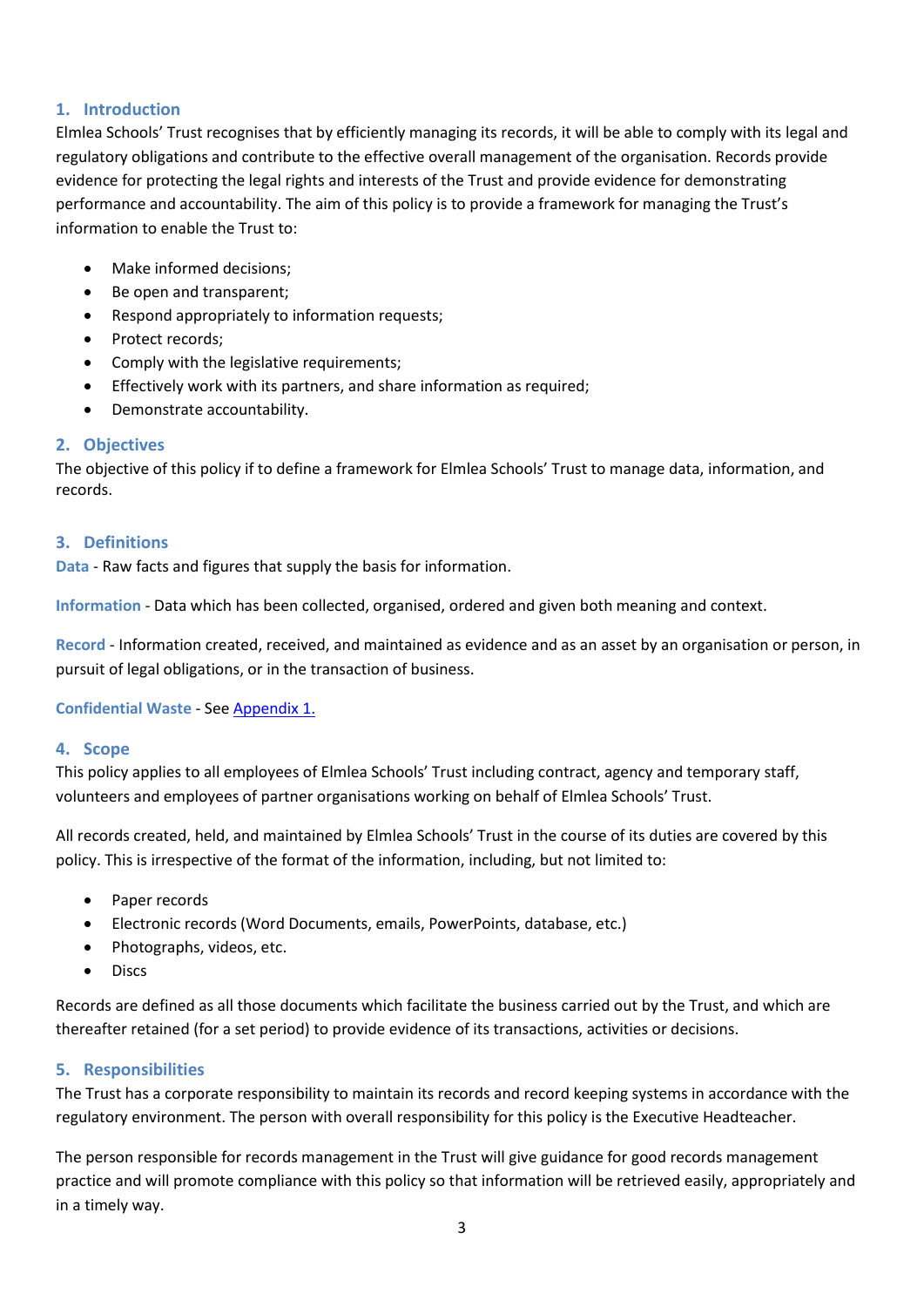# <span id="page-2-0"></span>**1. Introduction**

Elmlea Schools' Trust recognises that by efficiently managing its records, it will be able to comply with its legal and regulatory obligations and contribute to the effective overall management of the organisation. Records provide evidence for protecting the legal rights and interests of the Trust and provide evidence for demonstrating performance and accountability. The aim of this policy is to provide a framework for managing the Trust's information to enable the Trust to:

- Make informed decisions;
- Be open and transparent;
- Respond appropriately to information requests;
- Protect records;
- Comply with the legislative requirements;
- Effectively work with its partners, and share information as required;
- Demonstrate accountability.

#### <span id="page-2-1"></span>**2. Objectives**

The objective of this policy if to define a framework for Elmlea Schools' Trust to manage data, information, and records.

#### <span id="page-2-2"></span>**3. Definitions**

**Data** - Raw facts and figures that supply the basis for information.

**Information** - Data which has been collected, organised, ordered and given both meaning and context.

**Record** - Information created, received, and maintained as evidence and as an asset by an organisation or person, in pursuit of legal obligations, or in the transaction of business.

**Confidential Waste** - See [Appendix 1.](#page-5-2)

#### <span id="page-2-3"></span>**4. Scope**

This policy applies to all employees of Elmlea Schools' Trust including contract, agency and temporary staff, volunteers and employees of partner organisations working on behalf of Elmlea Schools' Trust.

All records created, held, and maintained by Elmlea Schools' Trust in the course of its duties are covered by this policy. This is irrespective of the format of the information, including, but not limited to:

- Paper records
- Electronic records (Word Documents, emails, PowerPoints, database, etc.)
- Photographs, videos, etc.
- Discs

Records are defined as all those documents which facilitate the business carried out by the Trust, and which are thereafter retained (for a set period) to provide evidence of its transactions, activities or decisions.

#### <span id="page-2-4"></span>**5. Responsibilities**

The Trust has a corporate responsibility to maintain its records and record keeping systems in accordance with the regulatory environment. The person with overall responsibility for this policy is the Executive Headteacher.

The person responsible for records management in the Trust will give guidance for good records management practice and will promote compliance with this policy so that information will be retrieved easily, appropriately and in a timely way.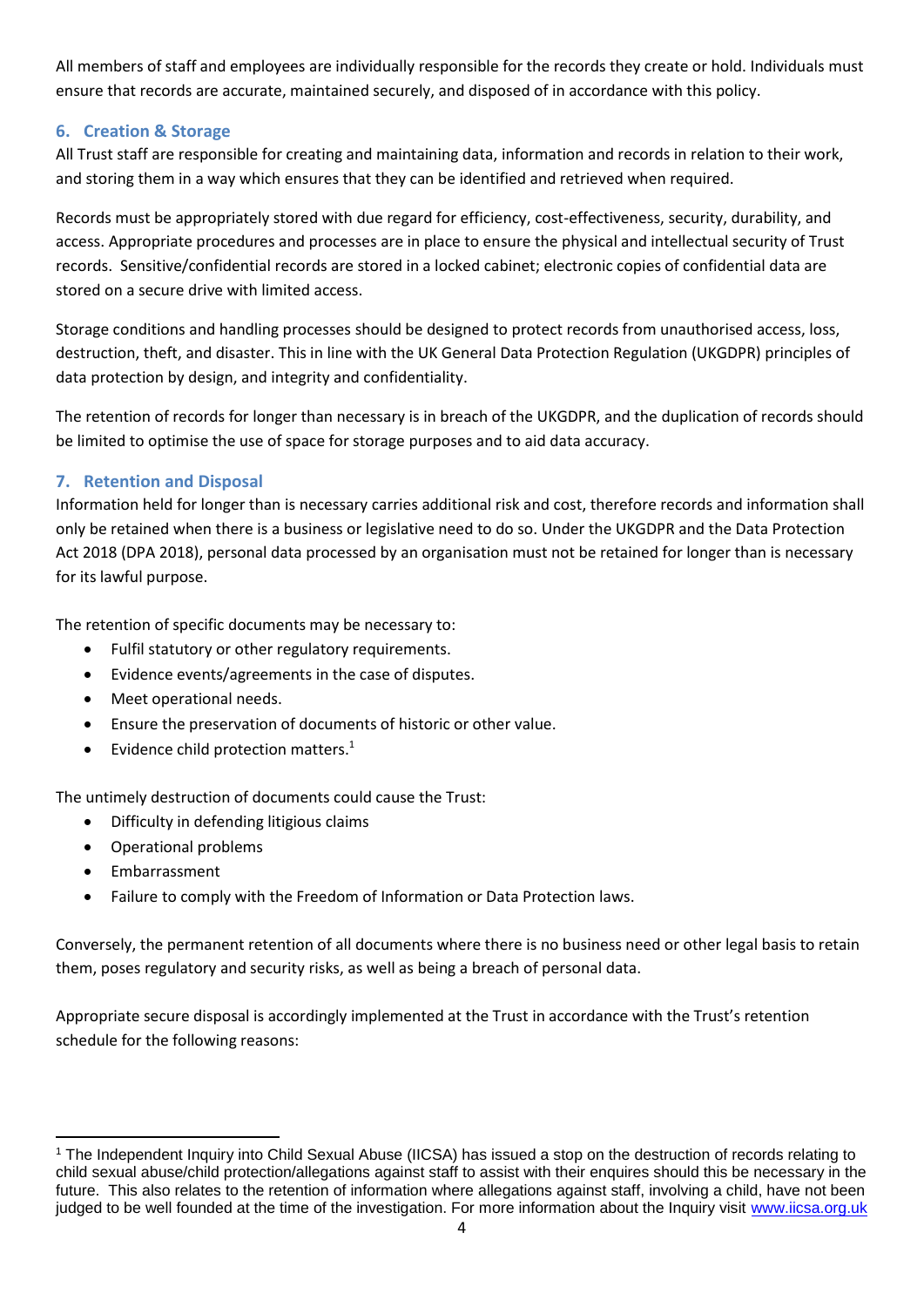All members of staff and employees are individually responsible for the records they create or hold. Individuals must ensure that records are accurate, maintained securely, and disposed of in accordance with this policy.

## <span id="page-3-0"></span>**6. Creation & Storage**

All Trust staff are responsible for creating and maintaining data, information and records in relation to their work, and storing them in a way which ensures that they can be identified and retrieved when required.

Records must be appropriately stored with due regard for efficiency, cost-effectiveness, security, durability, and access. Appropriate procedures and processes are in place to ensure the physical and intellectual security of Trust records. Sensitive/confidential records are stored in a locked cabinet; electronic copies of confidential data are stored on a secure drive with limited access.

Storage conditions and handling processes should be designed to protect records from unauthorised access, loss, destruction, theft, and disaster. This in line with the UK General Data Protection Regulation (UKGDPR) principles of data protection by design, and integrity and confidentiality.

The retention of records for longer than necessary is in breach of the UKGDPR, and the duplication of records should be limited to optimise the use of space for storage purposes and to aid data accuracy.

# <span id="page-3-1"></span>**7. Retention and Disposal**

Information held for longer than is necessary carries additional risk and cost, therefore records and information shall only be retained when there is a business or legislative need to do so. Under the UKGDPR and the Data Protection Act 2018 (DPA 2018), personal data processed by an organisation must not be retained for longer than is necessary for its lawful purpose.

The retention of specific documents may be necessary to:

- Fulfil statutory or other regulatory requirements.
- Evidence events/agreements in the case of disputes.
- Meet operational needs.
- Ensure the preservation of documents of historic or other value.
- Evidence child protection matters. $1$

The untimely destruction of documents could cause the Trust:

- Difficulty in defending litigious claims
- Operational problems
- Embarrassment

**.** 

Failure to comply with the Freedom of Information or Data Protection laws.

Conversely, the permanent retention of all documents where there is no business need or other legal basis to retain them, poses regulatory and security risks, as well as being a breach of personal data.

Appropriate secure disposal is accordingly implemented at the Trust in accordance with the Trust's retention schedule for the following reasons:

<sup>1</sup> The Independent Inquiry into Child Sexual Abuse (IICSA) has issued a stop on the destruction of records relating to child sexual abuse/child protection/allegations against staff to assist with their enquires should this be necessary in the future. This also relates to the retention of information where allegations against staff, involving a child, have not been judged to be well founded at the time of the investigation. For more information about the Inquiry visit [www.iicsa.org.uk](http://www.iicsa.org.uk/)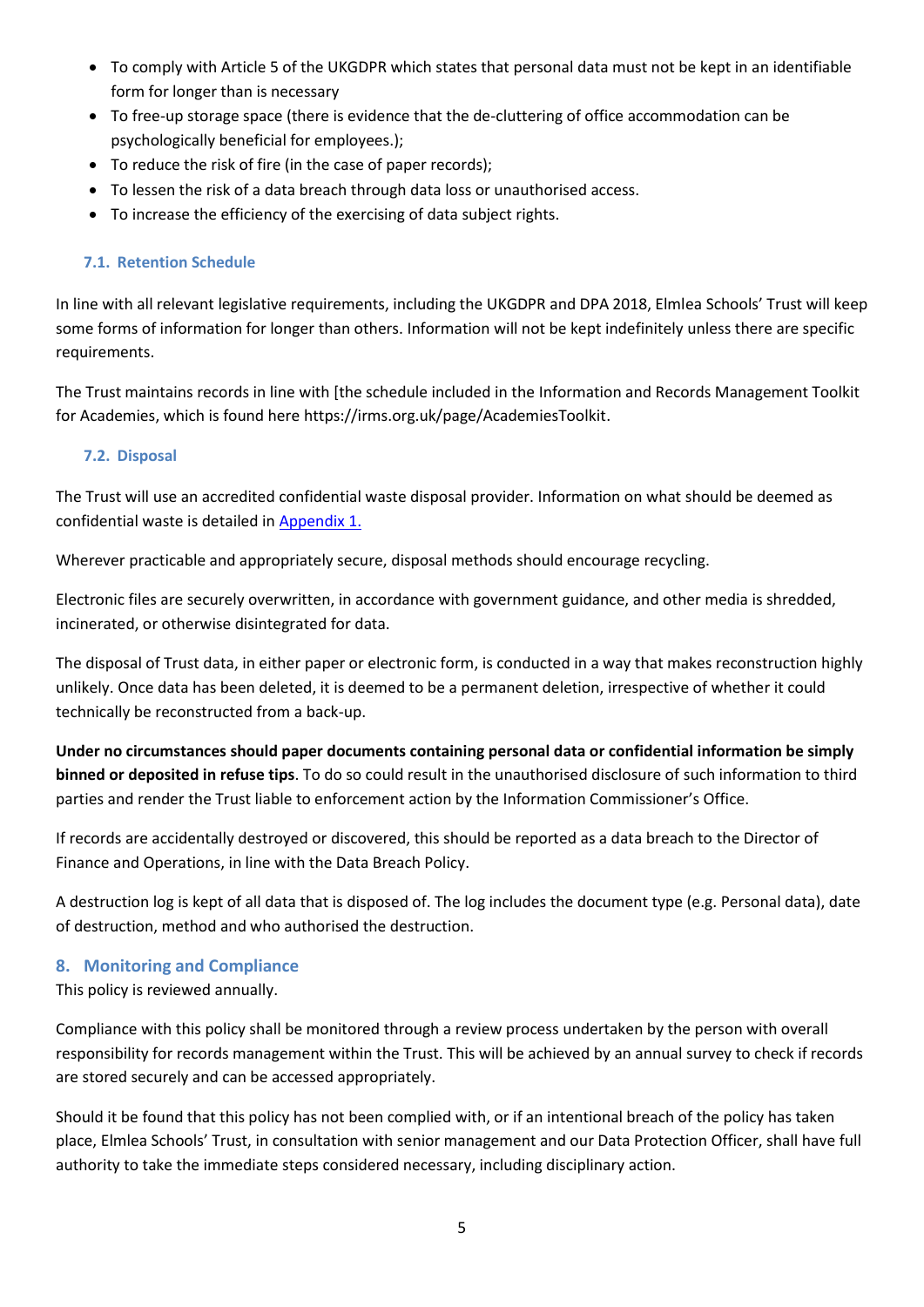- To comply with Article 5 of the UKGDPR which states that personal data must not be kept in an identifiable form for longer than is necessary
- To free-up storage space (there is evidence that the de-cluttering of office accommodation can be psychologically beneficial for employees.);
- To reduce the risk of fire (in the case of paper records);
- To lessen the risk of a data breach through data loss or unauthorised access.
- To increase the efficiency of the exercising of data subject rights.

#### <span id="page-4-0"></span>**7.1. Retention Schedule**

In line with all relevant legislative requirements, including the UKGDPR and DPA 2018, Elmlea Schools' Trust will keep some forms of information for longer than others. Information will not be kept indefinitely unless there are specific requirements.

The Trust maintains records in line with [the schedule included in the Information and Records Management Toolkit for Academies, which is found here https://irms.org.uk/page/AcademiesToolkit.

### <span id="page-4-1"></span>**7.2. Disposal**

The Trust will use an accredited confidential waste disposal provider. Information on what should be deemed as confidential waste is detailed in Appendix 1.

Wherever practicable and appropriately secure, disposal methods should encourage recycling.

Electronic files are securely overwritten, in accordance with government guidance, and other media is shredded, incinerated, or otherwise disintegrated for data.

The disposal of Trust data, in either paper or electronic form, is conducted in a way that makes reconstruction highly unlikely. Once data has been deleted, it is deemed to be a permanent deletion, irrespective of whether it could technically be reconstructed from a back-up.

**Under no circumstances should paper documents containing personal data or confidential information be simply binned or deposited in refuse tips**. To do so could result in the unauthorised disclosure of such information to third parties and render the Trust liable to enforcement action by the Information Commissioner's Office.

If records are accidentally destroyed or discovered, this should be reported as a data breach to the Director of Finance and Operations, in line with the Data Breach Policy.

A destruction log is kept of all data that is disposed of. The log includes the document type (e.g. Personal data), date of destruction, method and who authorised the destruction.

#### <span id="page-4-2"></span>**8. Monitoring and Compliance**

This policy is reviewed annually.

Compliance with this policy shall be monitored through a review process undertaken by the person with overall responsibility for records management within the Trust. This will be achieved by an annual survey to check if records are stored securely and can be accessed appropriately.

Should it be found that this policy has not been complied with, or if an intentional breach of the policy has taken place, Elmlea Schools' Trust, in consultation with senior management and our Data Protection Officer, shall have full authority to take the immediate steps considered necessary, including disciplinary action.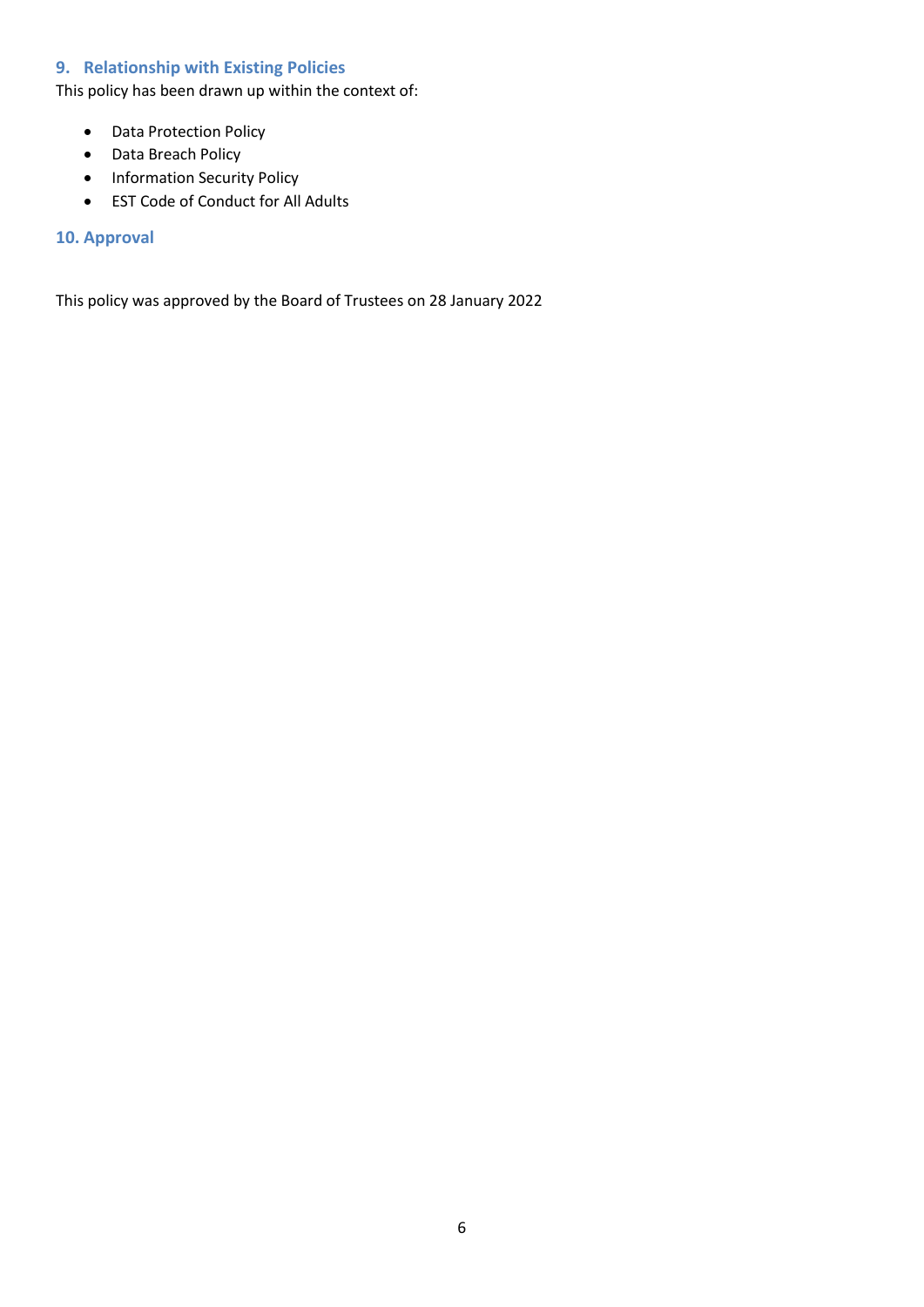# <span id="page-5-0"></span>**9. Relationship with Existing Policies**

This policy has been drawn up within the context of:

- Data Protection Policy
- Data Breach Policy
- Information Security Policy
- EST Code of Conduct for All Adults

#### <span id="page-5-1"></span>**10. Approval**

<span id="page-5-2"></span>This policy was approved by the Board of Trustees on 28 January 2022